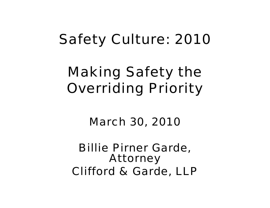## Safety Culture: 2010

# Making Safety the Overriding Priority

#### March 30, 2010

#### Billie Pirner Garde, Attorney Clifford & Garde, LLP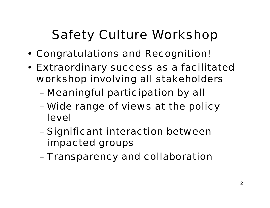## Safety Culture Workshop

- Congratulations and Recognition!
- Extraordinary success as a facilitated workshop involving all stakeholders
	- –Meaningful participation by all
	- – Wide range of views at the policy level
	- – Significant interaction between impacted groups
	- –Transparency and collaboration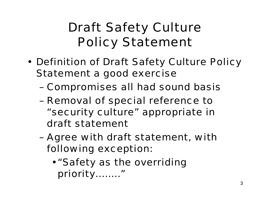## Draft Safety Culture Policy Statement

- Definition of Draft Safety Culture Policy Statement a good exercise
	- –Compromises all had sound basis
	- – Removal of special reference to "security culture" appropriate in draft statement
	- – Agree with draft statement, with following exception:
		- •"Safety as the overriding priority…….."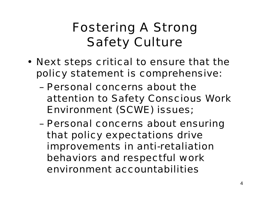## Fostering A Strong Safety Culture

- Next steps critical to ensure that the policy statement is comprehensive:
	- Personal concerns about the attention to Safety Conscious Work Environment (SCWE) issues;
	- – Personal concerns about ensuring that policy expectations drive improvements in anti-retaliation behaviors and respectful work environment accountabilities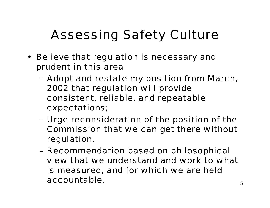## Assessing Safety Culture

- Believe that regulation is necessary and prudent in this area
	- – Adopt and restate my position from March, 2002 that regulation will provide consistent, reliable, and repeatable expectations;
	- – Urge reconsideration of the position of the Commission that we can get there without regulation.
	- – Recommendation based on philosophical view that we understand and work to what is measured, and for which we are held accountable.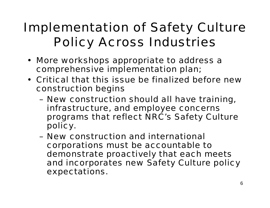## Implementation of Safety Culture Policy Across Industries

- More workshops appropriate to address a comprehensive implementation plan;
- Critical that this issue be finalized before new construction begins
	- – New construction should all have training, infrastructure, and employee concerns programs that reflect NRC's Safety Culture policy.
	- New construction and international corporations must be accountable to demonstrate proactively that each meets and incorporates new Safety Culture policy expectations.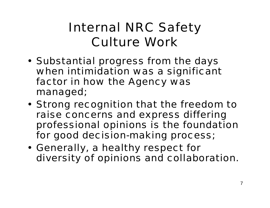### Internal NRC Safety Culture Work

- Substantial progress from the days when intimidation was a significant factor in how the Agency was managed;
- Strong recognition that the freedom to raise concerns and express differing professional opinions is the foundation for good decision-making process;
- Generally, a healthy respect for diversity of opinions and collaboration.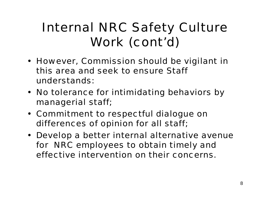## Internal NRC Safety Culture Work (cont'd)

- However, Commission should be vigilant in this area and seek to ensure Staff understands:
- No tolerance for intimidating behaviors by managerial staff;
- Commitment to respectful dialogue on differences of opinion for all staff;
- Develop a better internal alternative avenue for NRC employees to obtain timely and effective intervention on their concerns.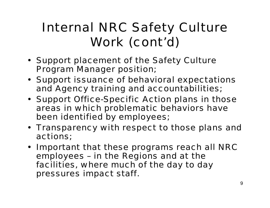## Internal NRC Safety Culture Work (cont'd)

- Support placement of the Safety Culture Program Manager position;
- Support issuance of behavioral expectations and Agency training and accountabilities;
- Support Office-Specific Action plans in those areas in which problematic behaviors have been identified by employees;
- Transparency with respect to those plans and actions;
- Important that these programs reach all NRC employees – in the Regions and at the facilities, where much of the day to day pressures impact staff.